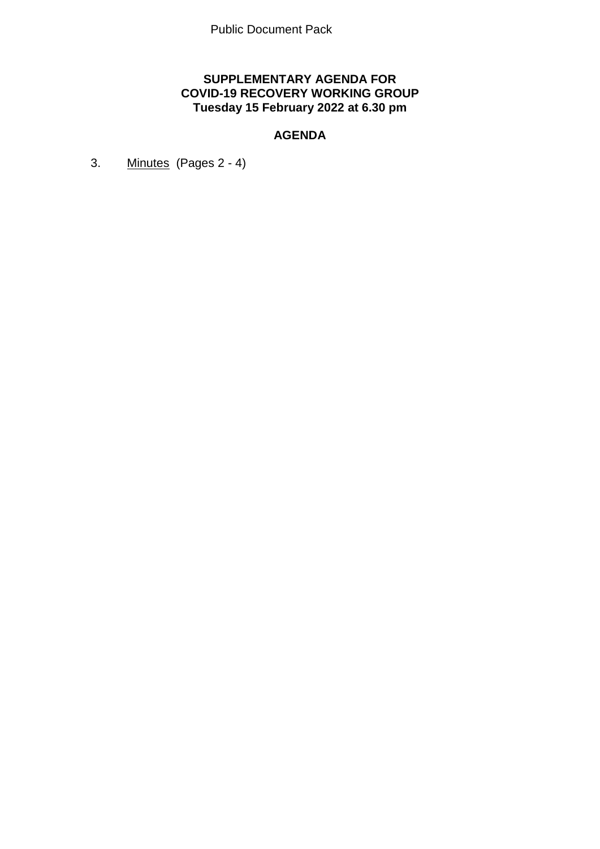# **SUPPLEMENTARY AGENDA FOR COVID-19 RECOVERY WORKING GROUP Tuesday 15 February 2022 at 6.30 pm**

# **AGENDA**

3. Minutes (Pages 2 - 4)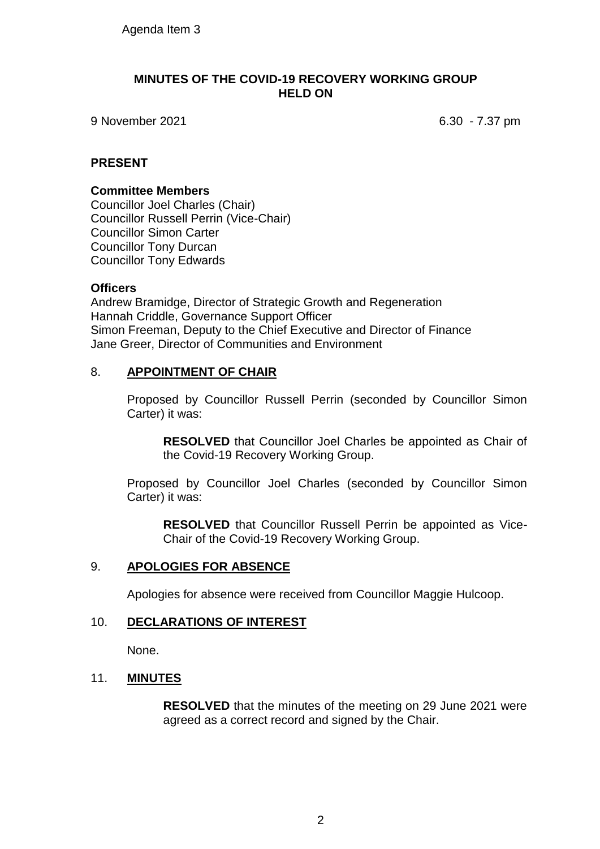#### **MINUTES OF THE COVID-19 RECOVERY WORKING GROUP HELD ON**

9 November 2021 6.30 - 7.37 pm

# **PRESENT**

#### **Committee Members**

Councillor Joel Charles (Chair) Councillor Russell Perrin (Vice-Chair) Councillor Simon Carter Councillor Tony Durcan Councillor Tony Edwards

#### **Officers**

Andrew Bramidge, Director of Strategic Growth and Regeneration Hannah Criddle, Governance Support Officer Simon Freeman, Deputy to the Chief Executive and Director of Finance Jane Greer, Director of Communities and Environment

# 8. **APPOINTMENT OF CHAIR**

Proposed by Councillor Russell Perrin (seconded by Councillor Simon Carter) it was:

**RESOLVED** that Councillor Joel Charles be appointed as Chair of the Covid-19 Recovery Working Group.

Proposed by Councillor Joel Charles (seconded by Councillor Simon Carter) it was:

**RESOLVED** that Councillor Russell Perrin be appointed as Vice-Chair of the Covid-19 Recovery Working Group.

#### 9. **APOLOGIES FOR ABSENCE**

Apologies for absence were received from Councillor Maggie Hulcoop.

#### 10. **DECLARATIONS OF INTEREST**

None.

#### 11. **MINUTES**

**RESOLVED** that the minutes of the meeting on 29 June 2021 were agreed as a correct record and signed by the Chair.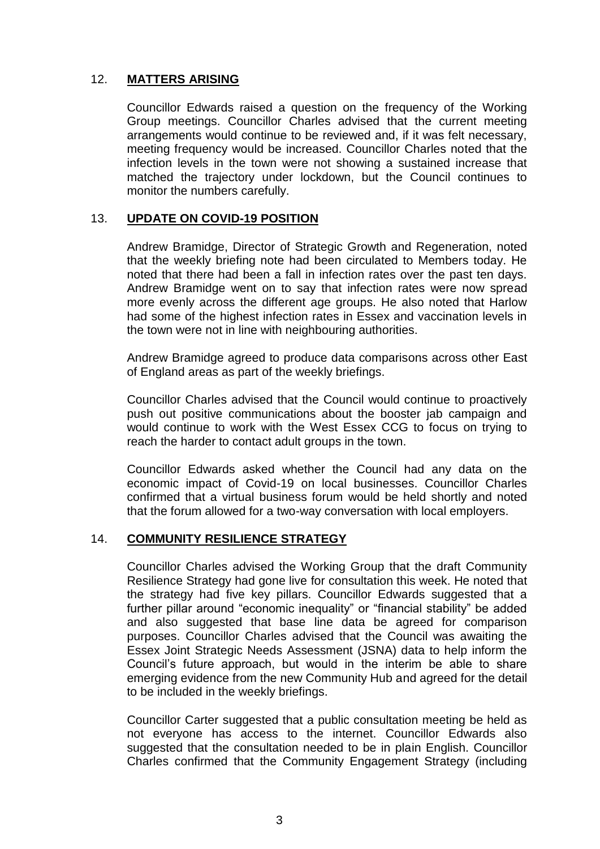# 12. **MATTERS ARISING**

Councillor Edwards raised a question on the frequency of the Working Group meetings. Councillor Charles advised that the current meeting arrangements would continue to be reviewed and, if it was felt necessary, meeting frequency would be increased. Councillor Charles noted that the infection levels in the town were not showing a sustained increase that matched the trajectory under lockdown, but the Council continues to monitor the numbers carefully.

# 13. **UPDATE ON COVID-19 POSITION**

Andrew Bramidge, Director of Strategic Growth and Regeneration, noted that the weekly briefing note had been circulated to Members today. He noted that there had been a fall in infection rates over the past ten days. Andrew Bramidge went on to say that infection rates were now spread more evenly across the different age groups. He also noted that Harlow had some of the highest infection rates in Essex and vaccination levels in the town were not in line with neighbouring authorities.

Andrew Bramidge agreed to produce data comparisons across other East of England areas as part of the weekly briefings.

Councillor Charles advised that the Council would continue to proactively push out positive communications about the booster jab campaign and would continue to work with the West Essex CCG to focus on trying to reach the harder to contact adult groups in the town.

Councillor Edwards asked whether the Council had any data on the economic impact of Covid-19 on local businesses. Councillor Charles confirmed that a virtual business forum would be held shortly and noted that the forum allowed for a two-way conversation with local employers.

#### 14. **COMMUNITY RESILIENCE STRATEGY**

Councillor Charles advised the Working Group that the draft Community Resilience Strategy had gone live for consultation this week. He noted that the strategy had five key pillars. Councillor Edwards suggested that a further pillar around "economic inequality" or "financial stability" be added and also suggested that base line data be agreed for comparison purposes. Councillor Charles advised that the Council was awaiting the Essex Joint Strategic Needs Assessment (JSNA) data to help inform the Council's future approach, but would in the interim be able to share emerging evidence from the new Community Hub and agreed for the detail to be included in the weekly briefings.

Councillor Carter suggested that a public consultation meeting be held as not everyone has access to the internet. Councillor Edwards also suggested that the consultation needed to be in plain English. Councillor Charles confirmed that the Community Engagement Strategy (including